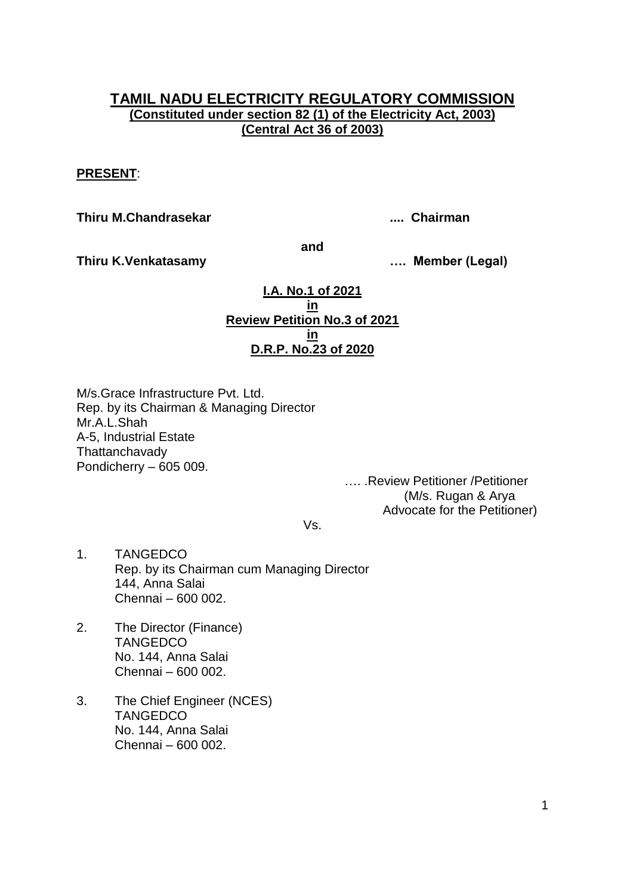## **TAMIL NADU ELECTRICITY REGULATORY COMMISSION (Constituted under section 82 (1) of the Electricity Act, 2003) (Central Act 36 of 2003)**

### **PRESENT**:

**Thiru M.Chandrasekar .... Chairman**

**and**

**Thiru K.Venkatasamy …. Member (Legal)**

**I.A. No.1 of 2021 in Review Petition No.3 of 2021 in D.R.P. No.23 of 2020**

M/s.Grace Infrastructure Pvt. Ltd. Rep. by its Chairman & Managing Director Mr.A.L.Shah A-5, Industrial Estate **Thattanchavady** Pondicherry – 605 009.

…. .Review Petitioner /Petitioner (M/s. Rugan & Arya Advocate for the Petitioner)

Vs.

- 1. TANGEDCO Rep. by its Chairman cum Managing Director 144, Anna Salai Chennai – 600 002.
- 2. The Director (Finance) **TANGEDCO** No. 144, Anna Salai Chennai – 600 002.
- 3. The Chief Engineer (NCES) **TANGEDCO** No. 144, Anna Salai Chennai – 600 002.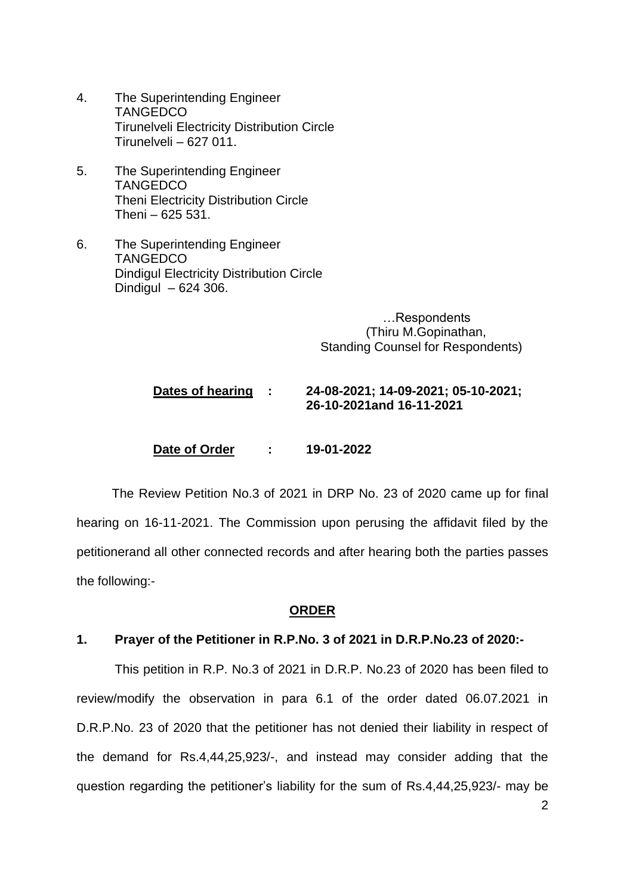- 4. The Superintending Engineer **TANGEDCO** Tirunelveli Electricity Distribution Circle Tirunelveli – 627 011.
- 5. The Superintending Engineer **TANGEDCO** Theni Electricity Distribution Circle Theni – 625 531.
- 6. The Superintending Engineer **TANGEDCO** Dindigul Electricity Distribution Circle Dindigul – 624 306.

…Respondents (Thiru M.Gopinathan, Standing Counsel for Respondents)

# **Dates of hearing : 24-08-2021; 14-09-2021; 05-10-2021; 26-10-2021and 16-11-2021**

**Date of Order : 19-01-2022**

 The Review Petition No.3 of 2021 in DRP No. 23 of 2020 came up for final hearing on 16-11-2021. The Commission upon perusing the affidavit filed by the petitionerand all other connected records and after hearing both the parties passes the following:-

## **ORDER**

#### **1. Prayer of the Petitioner in R.P.No. 3 of 2021 in D.R.P.No.23 of 2020:-**

This petition in R.P. No.3 of 2021 in D.R.P. No.23 of 2020 has been filed to review/modify the observation in para 6.1 of the order dated 06.07.2021 in D.R.P.No. 23 of 2020 that the petitioner has not denied their liability in respect of the demand for Rs.4,44,25,923/-, and instead may consider adding that the question regarding the petitioner's liability for the sum of Rs.4,44,25,923/- may be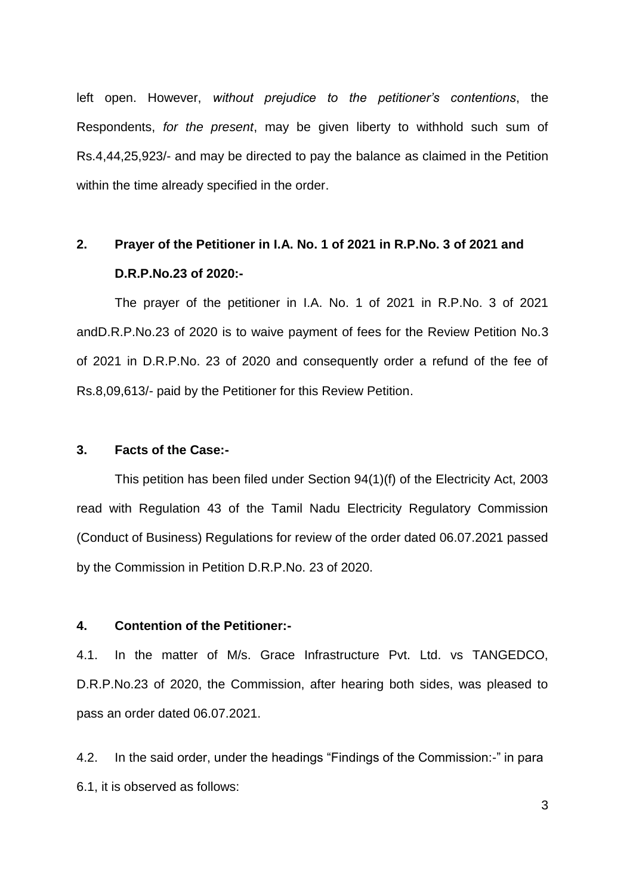left open. However, *without prejudice to the petitioner's contentions*, the Respondents, *for the present*, may be given liberty to withhold such sum of Rs.4,44,25,923/- and may be directed to pay the balance as claimed in the Petition within the time already specified in the order.

# **2. Prayer of the Petitioner in I.A. No. 1 of 2021 in R.P.No. 3 of 2021 and D.R.P.No.23 of 2020:-**

The prayer of the petitioner in I.A. No. 1 of 2021 in R.P.No. 3 of 2021 andD.R.P.No.23 of 2020 is to waive payment of fees for the Review Petition No.3 of 2021 in D.R.P.No. 23 of 2020 and consequently order a refund of the fee of Rs.8,09,613/- paid by the Petitioner for this Review Petition.

#### **3. Facts of the Case:-**

This petition has been filed under Section 94(1)(f) of the Electricity Act, 2003 read with Regulation 43 of the Tamil Nadu Electricity Regulatory Commission (Conduct of Business) Regulations for review of the order dated 06.07.2021 passed by the Commission in Petition D.R.P.No. 23 of 2020.

#### **4. Contention of the Petitioner:-**

4.1. In the matter of M/s. Grace Infrastructure Pvt. Ltd. vs TANGEDCO, D.R.P.No.23 of 2020, the Commission, after hearing both sides, was pleased to pass an order dated 06.07.2021.

4.2. In the said order, under the headings "Findings of the Commission:-" in para 6.1, it is observed as follows: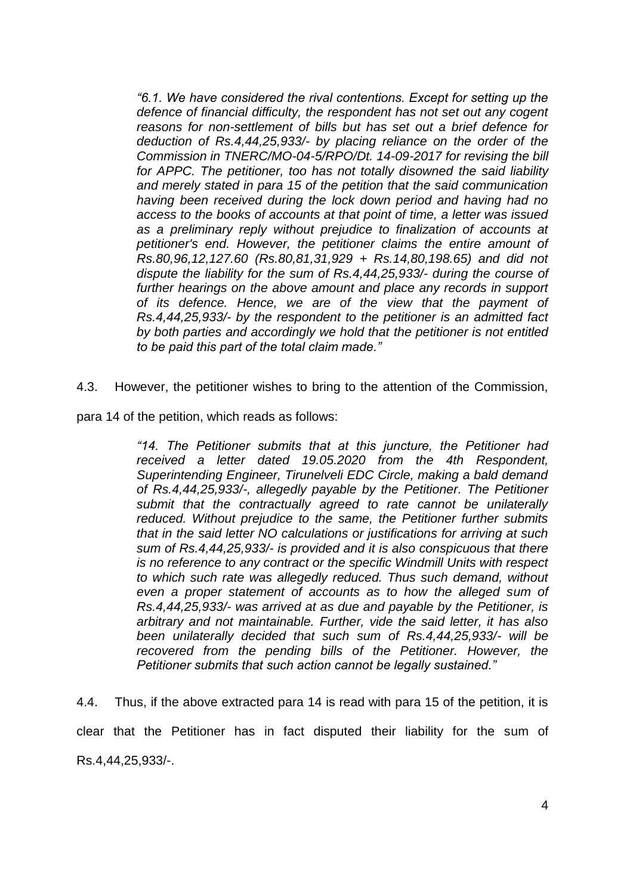*"6.1. We have considered the rival contentions. Except for setting up the defence of financial difficulty, the respondent has not set out any cogent reasons for non-settlement of bills but has set out a brief defence for deduction of Rs.4,44,25,933/- by placing reliance on the order of the Commission in TNERC/MO-04-5/RPO/Dt. 14-09-2017 for revising the bill for APPC. The petitioner, too has not totally disowned the said liability and merely stated in para 15 of the petition that the said communication having been received during the lock down period and having had no access to the books of accounts at that point of time, a letter was issued as a preliminary reply without prejudice to finalization of accounts at petitioner's end. However, the petitioner claims the entire amount of Rs.80,96,12,127.60 (Rs.80,81,31,929 + Rs.14,80,198.65) and did not dispute the liability for the sum of Rs.4,44,25,933/- during the course of further hearings on the above amount and place any records in support of its defence. Hence, we are of the view that the payment of Rs.4,44,25,933/- by the respondent to the petitioner is an admitted fact by both parties and accordingly we hold that the petitioner is not entitled to be paid this part of the total claim made."*

4.3. However, the petitioner wishes to bring to the attention of the Commission,

para 14 of the petition, which reads as follows:

*"14. The Petitioner submits that at this juncture, the Petitioner had received a letter dated 19.05.2020 from the 4th Respondent, Superintending Engineer, Tirunelveli EDC Circle, making a bald demand of Rs.4,44,25,933/-, allegedly payable by the Petitioner. The Petitioner submit that the contractually agreed to rate cannot be unilaterally reduced. Without prejudice to the same, the Petitioner further submits that in the said letter NO calculations or justifications for arriving at such sum of Rs.4,44,25,933/- is provided and it is also conspicuous that there is no reference to any contract or the specific Windmill Units with respect to which such rate was allegedly reduced. Thus such demand, without even a proper statement of accounts as to how the alleged sum of Rs.4,44,25,933/- was arrived at as due and payable by the Petitioner, is arbitrary and not maintainable. Further, vide the said letter, it has also been unilaterally decided that such sum of Rs.4,44,25,933/- will be*  recovered from the pending bills of the Petitioner. However, the *Petitioner submits that such action cannot be legally sustained."*

4.4. Thus, if the above extracted para 14 is read with para 15 of the petition, it is clear that the Petitioner has in fact disputed their liability for the sum of Rs.4,44,25,933/-.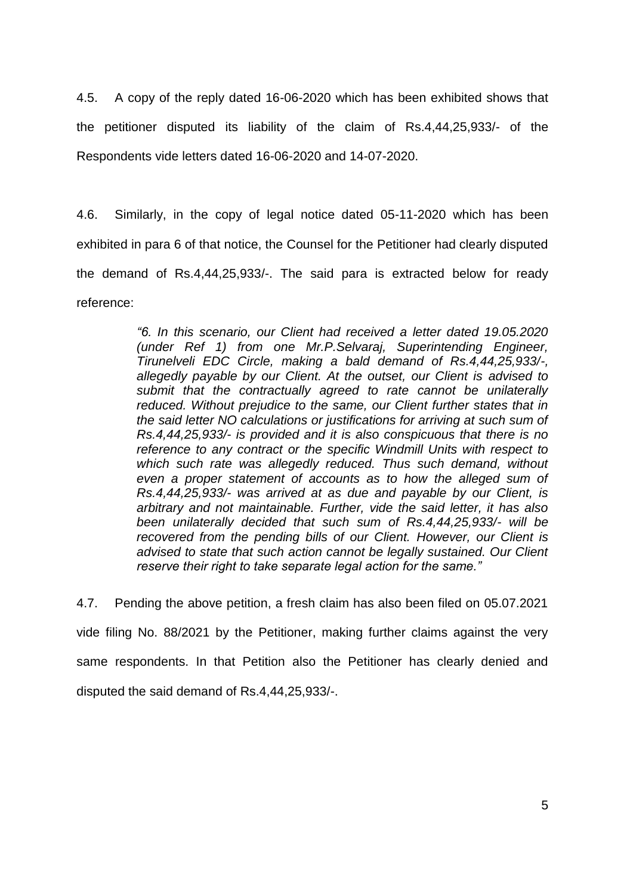4.5. A copy of the reply dated 16-06-2020 which has been exhibited shows that the petitioner disputed its liability of the claim of Rs.4,44,25,933/- of the Respondents vide letters dated 16-06-2020 and 14-07-2020.

4.6. Similarly, in the copy of legal notice dated 05-11-2020 which has been exhibited in para 6 of that notice, the Counsel for the Petitioner had clearly disputed the demand of Rs.4,44,25,933/-. The said para is extracted below for ready reference:

> *"6. In this scenario, our Client had received a letter dated 19.05.2020 (under Ref 1) from one Mr.P.Selvaraj, Superintending Engineer, Tirunelveli EDC Circle, making a bald demand of Rs.4,44,25,933/-, allegedly payable by our Client. At the outset, our Client is advised to submit that the contractually agreed to rate cannot be unilaterally reduced. Without prejudice to the same, our Client further states that in the said letter NO calculations or justifications for arriving at such sum of Rs.4,44,25,933/- is provided and it is also conspicuous that there is no reference to any contract or the specific Windmill Units with respect to which such rate was allegedly reduced. Thus such demand, without even a proper statement of accounts as to how the alleged sum of Rs.4,44,25,933/- was arrived at as due and payable by our Client, is arbitrary and not maintainable. Further, vide the said letter, it has also been unilaterally decided that such sum of Rs.4,44,25,933/- will be recovered from the pending bills of our Client. However, our Client is advised to state that such action cannot be legally sustained. Our Client reserve their right to take separate legal action for the same."*

4.7. Pending the above petition, a fresh claim has also been filed on 05.07.2021 vide filing No. 88/2021 by the Petitioner, making further claims against the very same respondents. In that Petition also the Petitioner has clearly denied and disputed the said demand of Rs.4,44,25,933/-.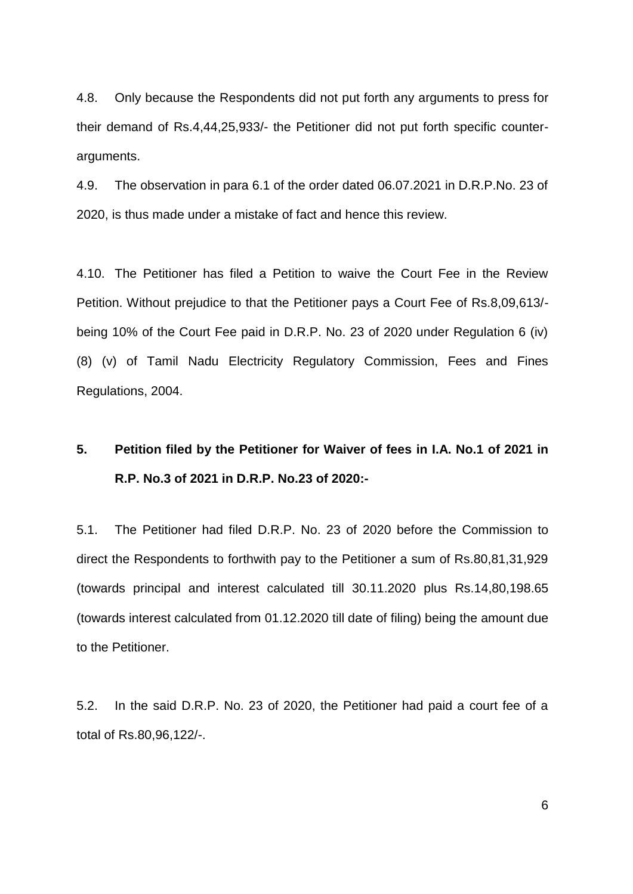4.8. Only because the Respondents did not put forth any arguments to press for their demand of Rs.4,44,25,933/- the Petitioner did not put forth specific counterarguments.

4.9. The observation in para 6.1 of the order dated 06.07.2021 in D.R.P.No. 23 of 2020, is thus made under a mistake of fact and hence this review.

4.10. The Petitioner has filed a Petition to waive the Court Fee in the Review Petition. Without prejudice to that the Petitioner pays a Court Fee of Rs.8,09,613/ being 10% of the Court Fee paid in D.R.P. No. 23 of 2020 under Regulation 6 (iv) (8) (v) of Tamil Nadu Electricity Regulatory Commission, Fees and Fines Regulations, 2004.

# **5. Petition filed by the Petitioner for Waiver of fees in I.A. No.1 of 2021 in R.P. No.3 of 2021 in D.R.P. No.23 of 2020:-**

5.1. The Petitioner had filed D.R.P. No. 23 of 2020 before the Commission to direct the Respondents to forthwith pay to the Petitioner a sum of Rs.80,81,31,929 (towards principal and interest calculated till 30.11.2020 plus Rs.14,80,198.65 (towards interest calculated from 01.12.2020 till date of filing) being the amount due to the Petitioner.

5.2. In the said D.R.P. No. 23 of 2020, the Petitioner had paid a court fee of a total of Rs.80,96,122/-.

6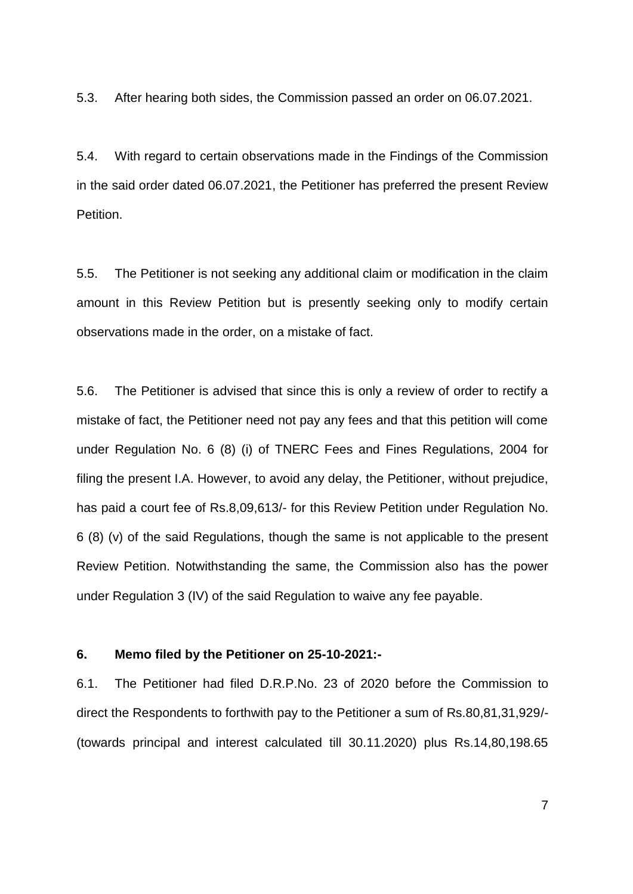5.3. After hearing both sides, the Commission passed an order on 06.07.2021.

5.4. With regard to certain observations made in the Findings of the Commission in the said order dated 06.07.2021, the Petitioner has preferred the present Review Petition.

5.5. The Petitioner is not seeking any additional claim or modification in the claim amount in this Review Petition but is presently seeking only to modify certain observations made in the order, on a mistake of fact.

5.6. The Petitioner is advised that since this is only a review of order to rectify a mistake of fact, the Petitioner need not pay any fees and that this petition will come under Regulation No. 6 (8) (i) of TNERC Fees and Fines Regulations, 2004 for filing the present I.A. However, to avoid any delay, the Petitioner, without prejudice, has paid a court fee of Rs.8,09,613/- for this Review Petition under Regulation No. 6 (8) (v) of the said Regulations, though the same is not applicable to the present Review Petition. Notwithstanding the same, the Commission also has the power under Regulation 3 (IV) of the said Regulation to waive any fee payable.

#### **6. Memo filed by the Petitioner on 25-10-2021:-**

6.1. The Petitioner had filed D.R.P.No. 23 of 2020 before the Commission to direct the Respondents to forthwith pay to the Petitioner a sum of Rs.80,81,31,929/- (towards principal and interest calculated till 30.11.2020) plus Rs.14,80,198.65

7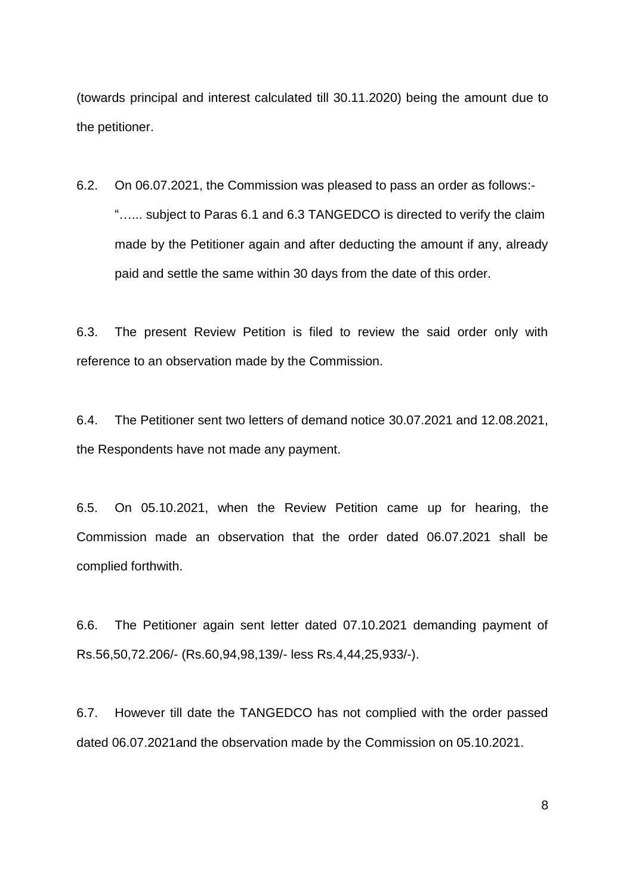(towards principal and interest calculated till 30.11.2020) being the amount due to the petitioner.

6.2. On 06.07.2021, the Commission was pleased to pass an order as follows:- "…... subject to Paras 6.1 and 6.3 TANGEDCO is directed to verify the claim made by the Petitioner again and after deducting the amount if any, already paid and settle the same within 30 days from the date of this order.

6.3. The present Review Petition is filed to review the said order only with reference to an observation made by the Commission.

6.4. The Petitioner sent two letters of demand notice 30.07.2021 and 12.08.2021, the Respondents have not made any payment.

6.5. On 05.10.2021, when the Review Petition came up for hearing, the Commission made an observation that the order dated 06.07.2021 shall be complied forthwith.

6.6. The Petitioner again sent letter dated 07.10.2021 demanding payment of Rs.56,50,72.206/- (Rs.60,94,98,139/- less Rs.4,44,25,933/-).

6.7. However till date the TANGEDCO has not complied with the order passed dated 06.07.2021and the observation made by the Commission on 05.10.2021.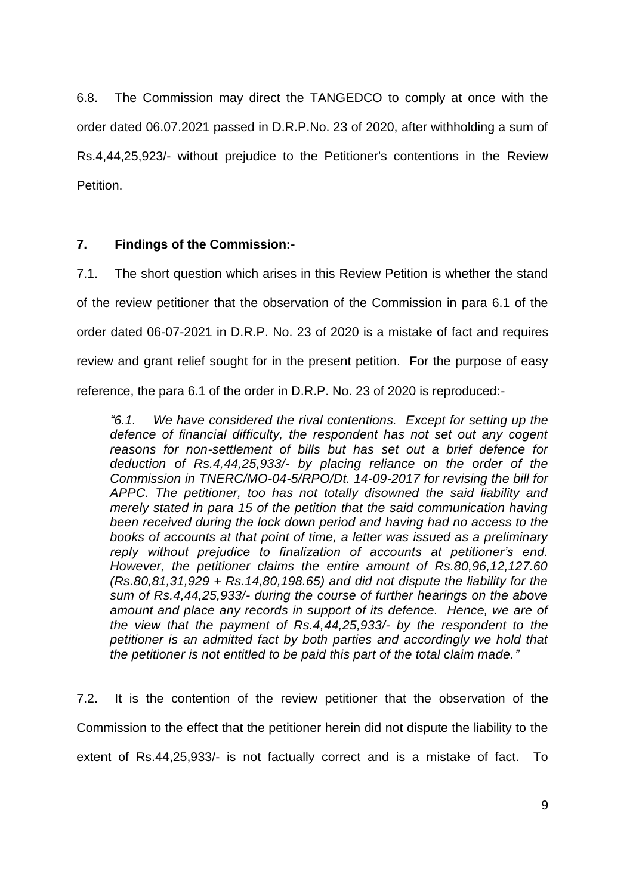6.8. The Commission may direct the TANGEDCO to comply at once with the order dated 06.07.2021 passed in D.R.P.No. 23 of 2020, after withholding a sum of Rs.4,44,25,923/- without prejudice to the Petitioner's contentions in the Review Petition.

## **7. Findings of the Commission:-**

7.1. The short question which arises in this Review Petition is whether the stand of the review petitioner that the observation of the Commission in para 6.1 of the order dated 06-07-2021 in D.R.P. No. 23 of 2020 is a mistake of fact and requires review and grant relief sought for in the present petition. For the purpose of easy reference, the para 6.1 of the order in D.R.P. No. 23 of 2020 is reproduced:-

*"6.1. We have considered the rival contentions. Except for setting up the defence of financial difficulty, the respondent has not set out any cogent reasons for non-settlement of bills but has set out a brief defence for deduction of Rs.4,44,25,933/- by placing reliance on the order of the Commission in TNERC/MO-04-5/RPO/Dt. 14-09-2017 for revising the bill for APPC. The petitioner, too has not totally disowned the said liability and merely stated in para 15 of the petition that the said communication having been received during the lock down period and having had no access to the books of accounts at that point of time, a letter was issued as a preliminary reply without prejudice to finalization of accounts at petitioner's end. However, the petitioner claims the entire amount of Rs.80,96,12,127.60 (Rs.80,81,31,929 + Rs.14,80,198.65) and did not dispute the liability for the sum of Rs.4,44,25,933/- during the course of further hearings on the above amount and place any records in support of its defence. Hence, we are of the view that the payment of Rs.4,44,25,933/- by the respondent to the petitioner is an admitted fact by both parties and accordingly we hold that the petitioner is not entitled to be paid this part of the total claim made."*

7.2. It is the contention of the review petitioner that the observation of the Commission to the effect that the petitioner herein did not dispute the liability to the extent of Rs.44,25,933/- is not factually correct and is a mistake of fact. To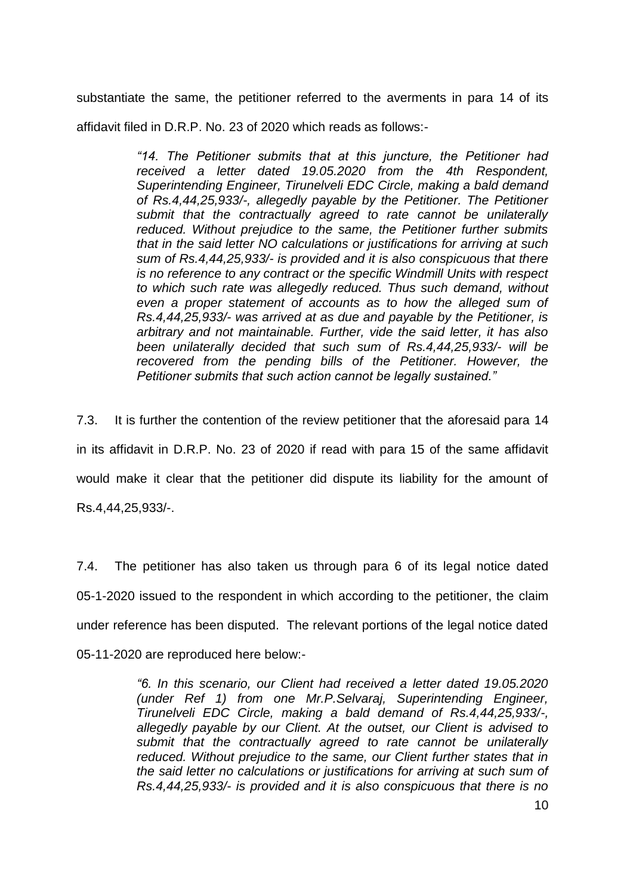substantiate the same, the petitioner referred to the averments in para 14 of its

affidavit filed in D.R.P. No. 23 of 2020 which reads as follows:-

*"14. The Petitioner submits that at this juncture, the Petitioner had received a letter dated 19.05.2020 from the 4th Respondent, Superintending Engineer, Tirunelveli EDC Circle, making a bald demand of Rs.4,44,25,933/-, allegedly payable by the Petitioner. The Petitioner submit that the contractually agreed to rate cannot be unilaterally reduced. Without prejudice to the same, the Petitioner further submits that in the said letter NO calculations or justifications for arriving at such sum of Rs.4,44,25,933/- is provided and it is also conspicuous that there is no reference to any contract or the specific Windmill Units with respect to which such rate was allegedly reduced. Thus such demand, without even a proper statement of accounts as to how the alleged sum of Rs.4,44,25,933/- was arrived at as due and payable by the Petitioner, is arbitrary and not maintainable. Further, vide the said letter, it has also been unilaterally decided that such sum of Rs.4,44,25,933/- will be*  recovered from the pending bills of the Petitioner. However, the *Petitioner submits that such action cannot be legally sustained."*

7.3. It is further the contention of the review petitioner that the aforesaid para 14 in its affidavit in D.R.P. No. 23 of 2020 if read with para 15 of the same affidavit would make it clear that the petitioner did dispute its liability for the amount of Rs.4,44,25,933/-.

7.4. The petitioner has also taken us through para 6 of its legal notice dated 05-1-2020 issued to the respondent in which according to the petitioner, the claim under reference has been disputed. The relevant portions of the legal notice dated 05-11-2020 are reproduced here below:-

> *"6. In this scenario, our Client had received a letter dated 19.05.2020 (under Ref 1) from one Mr.P.Selvaraj, Superintending Engineer, Tirunelveli EDC Circle, making a bald demand of Rs.4,44,25,933/-, allegedly payable by our Client. At the outset, our Client is advised to submit that the contractually agreed to rate cannot be unilaterally reduced. Without prejudice to the same, our Client further states that in the said letter no calculations or justifications for arriving at such sum of Rs.4,44,25,933/- is provided and it is also conspicuous that there is no*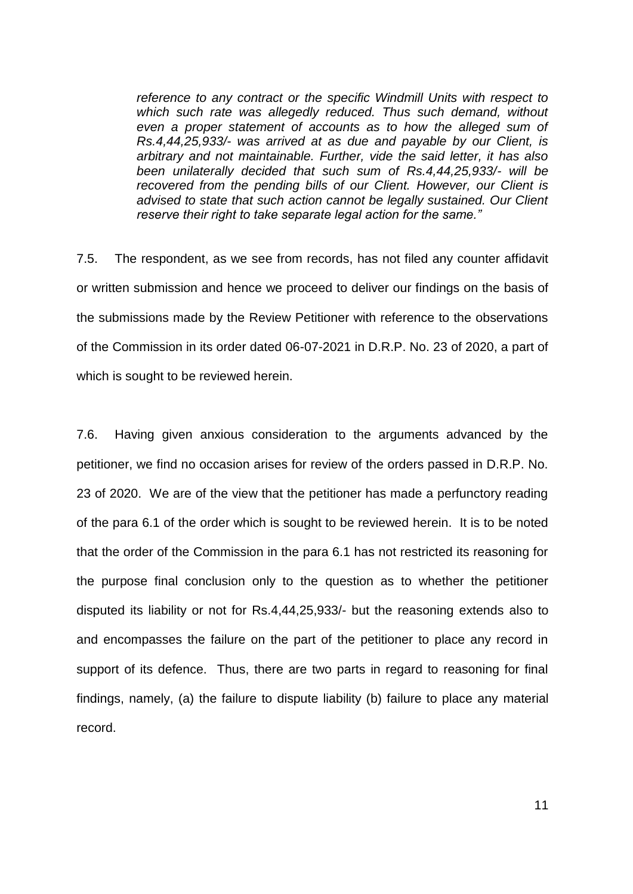*reference to any contract or the specific Windmill Units with respect to which such rate was allegedly reduced. Thus such demand, without even a proper statement of accounts as to how the alleged sum of Rs.4,44,25,933/- was arrived at as due and payable by our Client, is arbitrary and not maintainable. Further, vide the said letter, it has also been unilaterally decided that such sum of Rs.4,44,25,933/- will be recovered from the pending bills of our Client. However, our Client is advised to state that such action cannot be legally sustained. Our Client reserve their right to take separate legal action for the same."*

7.5. The respondent, as we see from records, has not filed any counter affidavit or written submission and hence we proceed to deliver our findings on the basis of the submissions made by the Review Petitioner with reference to the observations of the Commission in its order dated 06-07-2021 in D.R.P. No. 23 of 2020, a part of which is sought to be reviewed herein.

7.6. Having given anxious consideration to the arguments advanced by the petitioner, we find no occasion arises for review of the orders passed in D.R.P. No. 23 of 2020. We are of the view that the petitioner has made a perfunctory reading of the para 6.1 of the order which is sought to be reviewed herein. It is to be noted that the order of the Commission in the para 6.1 has not restricted its reasoning for the purpose final conclusion only to the question as to whether the petitioner disputed its liability or not for Rs.4,44,25,933/- but the reasoning extends also to and encompasses the failure on the part of the petitioner to place any record in support of its defence. Thus, there are two parts in regard to reasoning for final findings, namely, (a) the failure to dispute liability (b) failure to place any material record.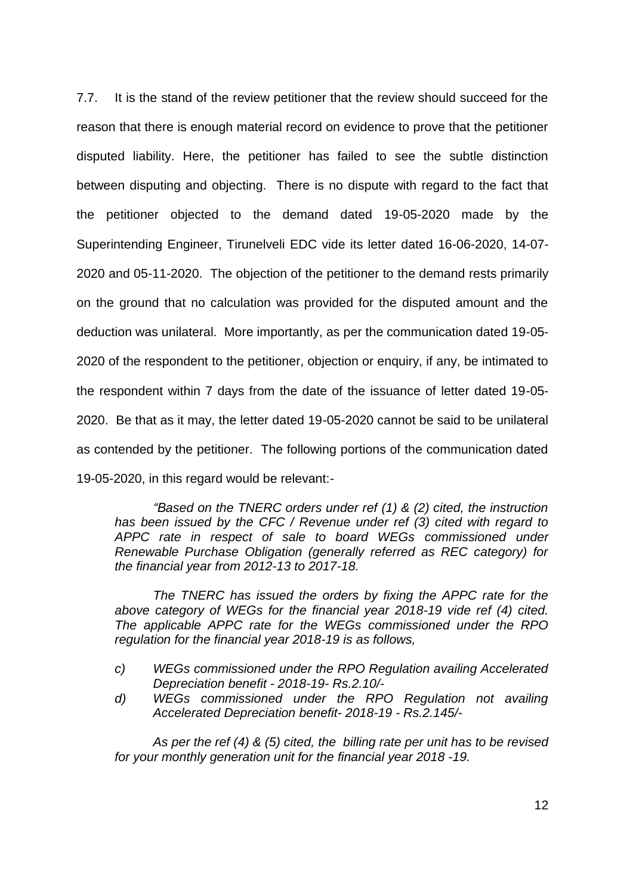7.7. It is the stand of the review petitioner that the review should succeed for the reason that there is enough material record on evidence to prove that the petitioner disputed liability. Here, the petitioner has failed to see the subtle distinction between disputing and objecting. There is no dispute with regard to the fact that the petitioner objected to the demand dated 19-05-2020 made by the Superintending Engineer, Tirunelveli EDC vide its letter dated 16-06-2020, 14-07- 2020 and 05-11-2020. The objection of the petitioner to the demand rests primarily on the ground that no calculation was provided for the disputed amount and the deduction was unilateral. More importantly, as per the communication dated 19-05- 2020 of the respondent to the petitioner, objection or enquiry, if any, be intimated to the respondent within 7 days from the date of the issuance of letter dated 19-05- 2020. Be that as it may, the letter dated 19-05-2020 cannot be said to be unilateral as contended by the petitioner. The following portions of the communication dated 19-05-2020, in this regard would be relevant:-

*"Based on the TNERC orders under ref (1) & (2) cited, the instruction has been issued by the CFC / Revenue under ref (3) cited with regard to APPC rate in respect of sale to board WEGs commissioned under Renewable Purchase Obligation (generally referred as REC category) for the financial year from 2012-13 to 2017-18.* 

*The TNERC has issued the orders by fixing the APPC rate for the above category of WEGs for the financial year 2018-19 vide ref (4) cited. The applicable APPC rate for the WEGs commissioned under the RPO regulation for the financial year 2018-19 is as follows,* 

- *c) WEGs commissioned under the RPO Regulation availing Accelerated Depreciation benefit - 2018-19- Rs.2.10/-*
- *d) WEGs commissioned under the RPO Regulation not availing Accelerated Depreciation benefit- 2018-19 - Rs.2.145/-*

*As per the ref (4) & (5) cited, the billing rate per unit has to be revised for your monthly generation unit for the financial year 2018 -19.*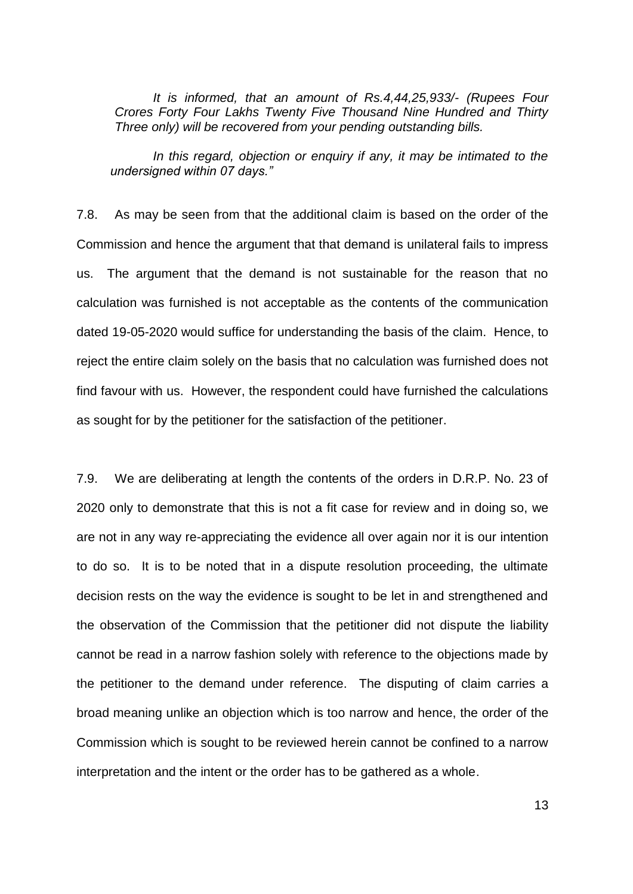*It is informed, that an amount of Rs.4,44,25,933/- (Rupees Four Crores Forty Four Lakhs Twenty Five Thousand Nine Hundred and Thirty Three only) will be recovered from your pending outstanding bills.*

*In this regard, objection or enquiry if any, it may be intimated to the undersigned within 07 days."*

7.8. As may be seen from that the additional claim is based on the order of the Commission and hence the argument that that demand is unilateral fails to impress us. The argument that the demand is not sustainable for the reason that no calculation was furnished is not acceptable as the contents of the communication dated 19-05-2020 would suffice for understanding the basis of the claim. Hence, to reject the entire claim solely on the basis that no calculation was furnished does not find favour with us. However, the respondent could have furnished the calculations as sought for by the petitioner for the satisfaction of the petitioner.

7.9. We are deliberating at length the contents of the orders in D.R.P. No. 23 of 2020 only to demonstrate that this is not a fit case for review and in doing so, we are not in any way re-appreciating the evidence all over again nor it is our intention to do so. It is to be noted that in a dispute resolution proceeding, the ultimate decision rests on the way the evidence is sought to be let in and strengthened and the observation of the Commission that the petitioner did not dispute the liability cannot be read in a narrow fashion solely with reference to the objections made by the petitioner to the demand under reference. The disputing of claim carries a broad meaning unlike an objection which is too narrow and hence, the order of the Commission which is sought to be reviewed herein cannot be confined to a narrow interpretation and the intent or the order has to be gathered as a whole.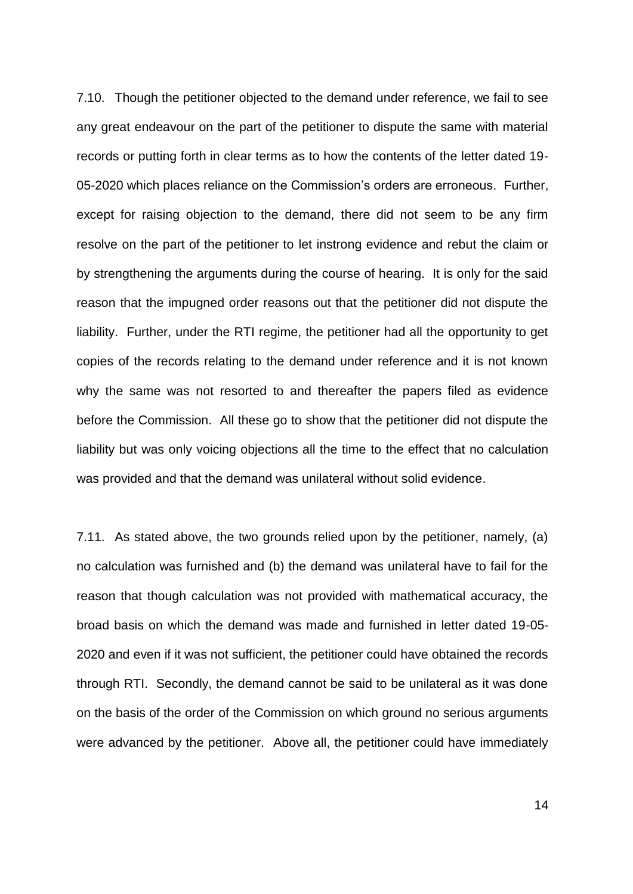7.10. Though the petitioner objected to the demand under reference, we fail to see any great endeavour on the part of the petitioner to dispute the same with material records or putting forth in clear terms as to how the contents of the letter dated 19- 05-2020 which places reliance on the Commission's orders are erroneous. Further, except for raising objection to the demand, there did not seem to be any firm resolve on the part of the petitioner to let instrong evidence and rebut the claim or by strengthening the arguments during the course of hearing. It is only for the said reason that the impugned order reasons out that the petitioner did not dispute the liability. Further, under the RTI regime, the petitioner had all the opportunity to get copies of the records relating to the demand under reference and it is not known why the same was not resorted to and thereafter the papers filed as evidence before the Commission. All these go to show that the petitioner did not dispute the liability but was only voicing objections all the time to the effect that no calculation was provided and that the demand was unilateral without solid evidence.

7.11. As stated above, the two grounds relied upon by the petitioner, namely, (a) no calculation was furnished and (b) the demand was unilateral have to fail for the reason that though calculation was not provided with mathematical accuracy, the broad basis on which the demand was made and furnished in letter dated 19-05- 2020 and even if it was not sufficient, the petitioner could have obtained the records through RTI. Secondly, the demand cannot be said to be unilateral as it was done on the basis of the order of the Commission on which ground no serious arguments were advanced by the petitioner. Above all, the petitioner could have immediately

14